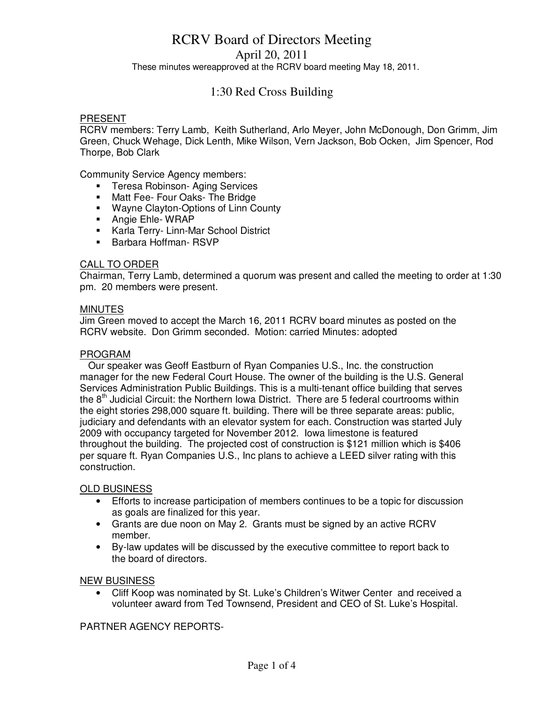April 20, 2011

These minutes wereapproved at the RCRV board meeting May 18, 2011.

# 1:30 Red Cross Building

### PRESENT

RCRV members: Terry Lamb, Keith Sutherland, Arlo Meyer, John McDonough, Don Grimm, Jim Green, Chuck Wehage, Dick Lenth, Mike Wilson, Vern Jackson, Bob Ocken, Jim Spencer, Rod Thorpe, Bob Clark

Community Service Agency members:

- **Teresa Robinson- Aging Services**
- **Matt Fee- Four Oaks- The Bridge**
- **Wayne Clayton-Options of Linn County**
- **Angie Ehle- WRAP**
- **Karla Terry- Linn-Mar School District**
- Barbara Hoffman- RSVP

### CALL TO ORDER

Chairman, Terry Lamb, determined a quorum was present and called the meeting to order at 1:30 pm. 20 members were present.

### **MINUTES**

Jim Green moved to accept the March 16, 2011 RCRV board minutes as posted on the RCRV website. Don Grimm seconded. Motion: carried Minutes: adopted

#### PROGRAM

 Our speaker was Geoff Eastburn of Ryan Companies U.S., Inc. the construction manager for the new Federal Court House. The owner of the building is the U.S. General Services Administration Public Buildings. This is a multi-tenant office building that serves the  $8<sup>th</sup>$  Judicial Circuit: the Northern Iowa District. There are 5 federal courtrooms within the eight stories 298,000 square ft. building. There will be three separate areas: public, judiciary and defendants with an elevator system for each. Construction was started July 2009 with occupancy targeted for November 2012. Iowa limestone is featured throughout the building. The projected cost of construction is \$121 million which is \$406 per square ft. Ryan Companies U.S., Inc plans to achieve a LEED silver rating with this construction.

### OLD BUSINESS

- Efforts to increase participation of members continues to be a topic for discussion as goals are finalized for this year.
- Grants are due noon on May 2. Grants must be signed by an active RCRV member.
- By-law updates will be discussed by the executive committee to report back to the board of directors.

#### NEW BUSINESS

• Cliff Koop was nominated by St. Luke's Children's Witwer Center and received a volunteer award from Ted Townsend, President and CEO of St. Luke's Hospital.

PARTNER AGENCY REPORTS-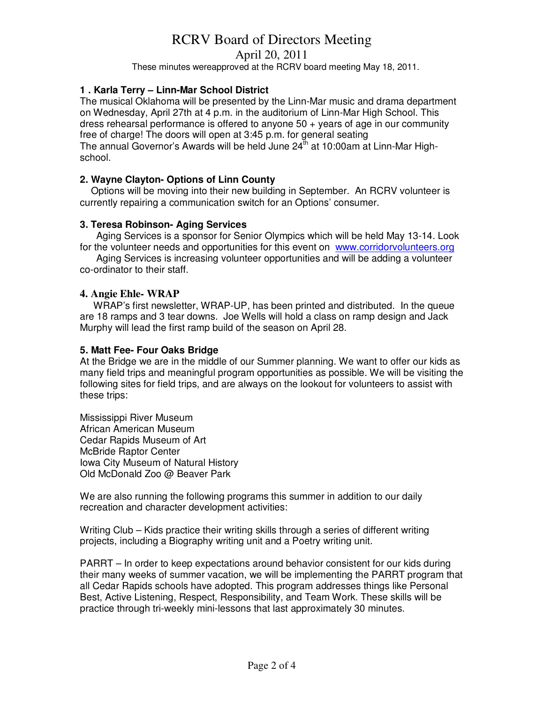April 20, 2011

These minutes wereapproved at the RCRV board meeting May 18, 2011.

# **1 . Karla Terry – Linn-Mar School District**

The musical Oklahoma will be presented by the Linn-Mar music and drama department on Wednesday, April 27th at 4 p.m. in the auditorium of Linn-Mar High School. This dress rehearsal performance is offered to anyone 50 + years of age in our community free of charge! The doors will open at 3:45 p.m. for general seating The annual Governor's Awards will be held June  $24<sup>th</sup>$  at 10:00am at Linn-Mar Highschool.

# **2. Wayne Clayton- Options of Linn County**

 Options will be moving into their new building in September. An RCRV volunteer is currently repairing a communication switch for an Options' consumer.

# **3. Teresa Robinson- Aging Services**

Aging Services is a sponsor for Senior Olympics which will be held May 13-14. Look for the volunteer needs and opportunities for this event on www.corridorvolunteers.org

 Aging Services is increasing volunteer opportunities and will be adding a volunteer co-ordinator to their staff.

### **4. Angie Ehle- WRAP**

 WRAP's first newsletter, WRAP-UP, has been printed and distributed. In the queue are 18 ramps and 3 tear downs. Joe Wells will hold a class on ramp design and Jack Murphy will lead the first ramp build of the season on April 28.

### **5. Matt Fee- Four Oaks Bridge**

At the Bridge we are in the middle of our Summer planning. We want to offer our kids as many field trips and meaningful program opportunities as possible. We will be visiting the following sites for field trips, and are always on the lookout for volunteers to assist with these trips:

Mississippi River Museum African American Museum Cedar Rapids Museum of Art McBride Raptor Center Iowa City Museum of Natural History Old McDonald Zoo @ Beaver Park

We are also running the following programs this summer in addition to our daily recreation and character development activities:

Writing Club – Kids practice their writing skills through a series of different writing projects, including a Biography writing unit and a Poetry writing unit.

PARRT – In order to keep expectations around behavior consistent for our kids during their many weeks of summer vacation, we will be implementing the PARRT program that all Cedar Rapids schools have adopted. This program addresses things like Personal Best, Active Listening, Respect, Responsibility, and Team Work. These skills will be practice through tri-weekly mini-lessons that last approximately 30 minutes.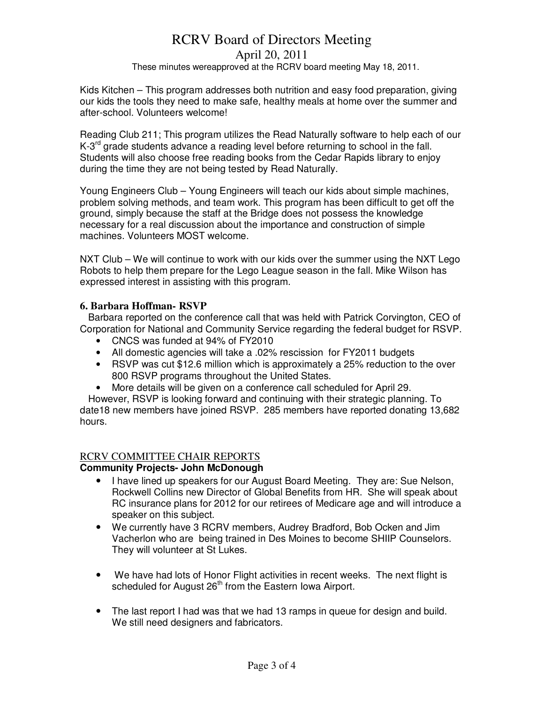# April 20, 2011

### These minutes wereapproved at the RCRV board meeting May 18, 2011.

Kids Kitchen – This program addresses both nutrition and easy food preparation, giving our kids the tools they need to make safe, healthy meals at home over the summer and after-school. Volunteers welcome!

Reading Club 211; This program utilizes the Read Naturally software to help each of our K-3<sup>rd</sup> grade students advance a reading level before returning to school in the fall. Students will also choose free reading books from the Cedar Rapids library to enjoy during the time they are not being tested by Read Naturally.

Young Engineers Club – Young Engineers will teach our kids about simple machines, problem solving methods, and team work. This program has been difficult to get off the ground, simply because the staff at the Bridge does not possess the knowledge necessary for a real discussion about the importance and construction of simple machines. Volunteers MOST welcome.

NXT Club – We will continue to work with our kids over the summer using the NXT Lego Robots to help them prepare for the Lego League season in the fall. Mike Wilson has expressed interest in assisting with this program.

### **6. Barbara Hoffman- RSVP**

 Barbara reported on the conference call that was held with Patrick Corvington, CEO of Corporation for National and Community Service regarding the federal budget for RSVP.

- CNCS was funded at 94% of FY2010
- All domestic agencies will take a .02% rescission for FY2011 budgets
- RSVP was cut \$12.6 million which is approximately a 25% reduction to the over 800 RSVP programs throughout the United States.
- More details will be given on a conference call scheduled for April 29.

 However, RSVP is looking forward and continuing with their strategic planning. To date18 new members have joined RSVP. 285 members have reported donating 13,682 hours.

# RCRV COMMITTEE CHAIR REPORTS

# **Community Projects- John McDonough**

- I have lined up speakers for our August Board Meeting. They are: Sue Nelson, Rockwell Collins new Director of Global Benefits from HR. She will speak about RC insurance plans for 2012 for our retirees of Medicare age and will introduce a speaker on this subject.
- We currently have 3 RCRV members, Audrey Bradford, Bob Ocken and Jim Vacherlon who are being trained in Des Moines to become SHIIP Counselors. They will volunteer at St Lukes.
- We have had lots of Honor Flight activities in recent weeks. The next flight is scheduled for August  $26<sup>th</sup>$  from the Eastern Iowa Airport.
- The last report I had was that we had 13 ramps in queue for design and build. We still need designers and fabricators.